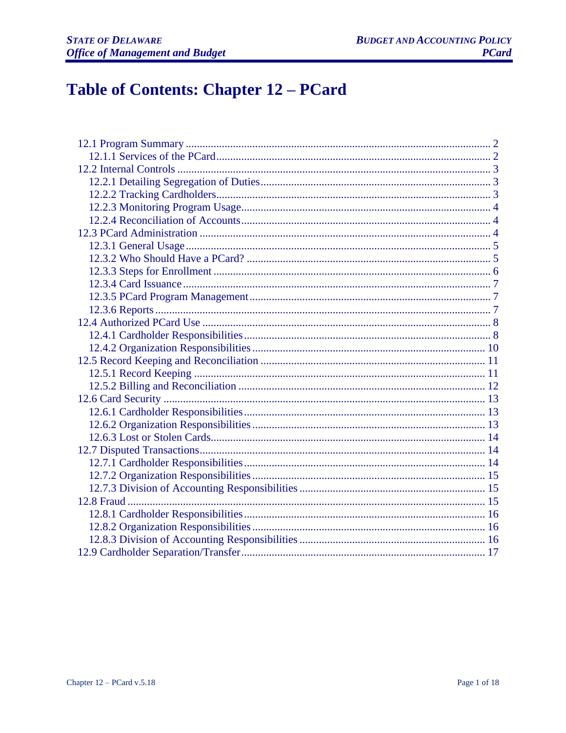# Table of Contents: Chapter 12 - PCard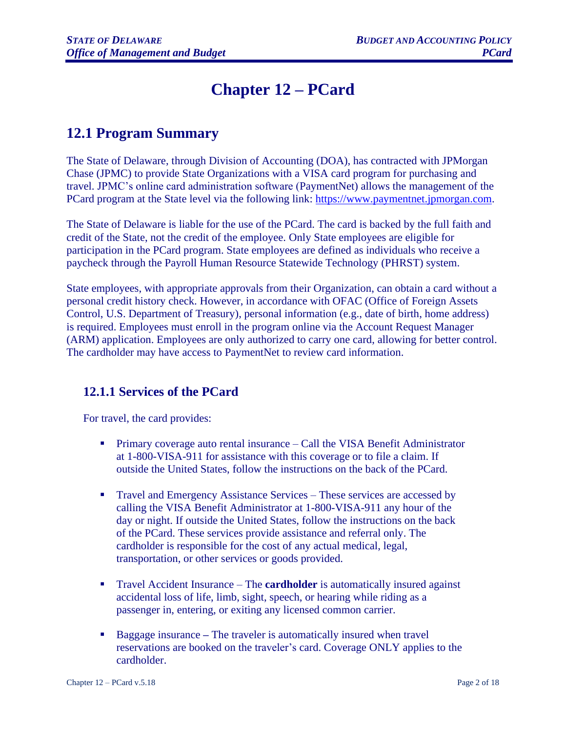# **Chapter 12 – PCard**

# <span id="page-1-0"></span>**12.1 Program Summary**

The State of Delaware, through Division of Accounting (DOA), has contracted with JPMorgan Chase (JPMC) to provide State Organizations with a VISA card program for purchasing and travel. JPMC's online card administration software (PaymentNet) allows the management of the PCard program at the State level via the following link: [https://www.paymentnet.jpmorgan.com.](https://www.paymentnet.jpmorgan.com/)

The State of Delaware is liable for the use of the PCard. The card is backed by the full faith and credit of the State, not the credit of the employee. Only State employees are eligible for participation in the PCard program. State employees are defined as individuals who receive a paycheck through the Payroll Human Resource Statewide Technology (PHRST) system.

State employees, with appropriate approvals from their Organization, can obtain a card without a personal credit history check. However, in accordance with OFAC (Office of Foreign Assets Control, U.S. Department of Treasury), personal information (e.g., date of birth, home address) is required. Employees must enroll in the program online via the Account Request Manager (ARM) application. Employees are only authorized to carry one card, allowing for better control. The cardholder may have access to PaymentNet to review card information.

### <span id="page-1-1"></span>**12.1.1 Services of the PCard**

For travel, the card provides:

- Primary coverage auto rental insurance Call the VISA Benefit Administrator at 1-800-VISA-911 for assistance with this coverage or to file a claim. If outside the United States, follow the instructions on the back of the PCard.
- **Travel and Emergency Assistance Services These services are accessed by** calling the VISA Benefit Administrator at 1-800-VISA-911 any hour of the day or night. If outside the United States, follow the instructions on the back of the PCard. These services provide assistance and referral only. The cardholder is responsible for the cost of any actual medical, legal, transportation, or other services or goods provided.
- **•** Travel Accident Insurance The **cardholder** is automatically insured against accidental loss of life, limb, sight, speech, or hearing while riding as a passenger in, entering, or exiting any licensed common carrier.
- Baggage insurance The traveler is automatically insured when travel reservations are booked on the traveler's card. Coverage ONLY applies to the cardholder.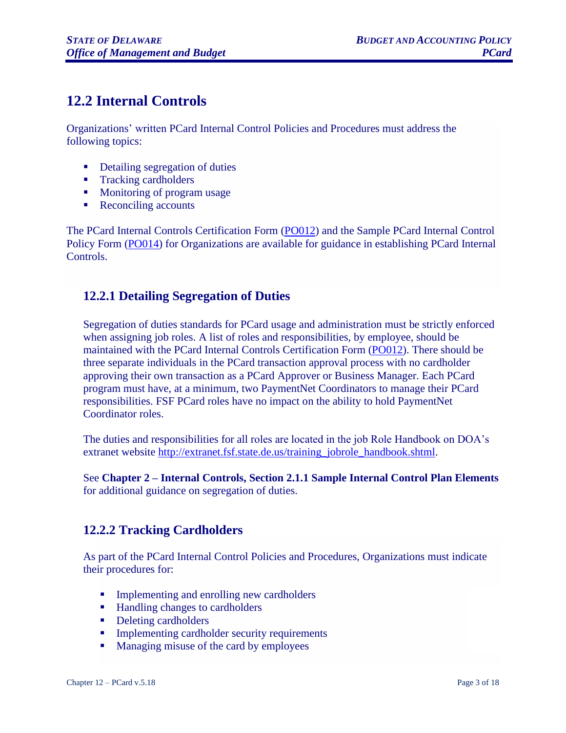# <span id="page-2-0"></span>**12.2 Internal Controls**

Organizations' written PCard Internal Control Policies and Procedures must address the following topics:

- Detailing segregation of duties
- Tracking cardholders
- Monitoring of program usage
- Reconciling accounts

The PCard Internal Controls Certification Form [\(PO012\)](http://extranet.fsf.state.de.us/forms.shtml) and the Sample PCard Internal Control Policy Form [\(PO014\)](http://extranet.fsf.state.de.us/forms.shtml) for Organizations are available for guidance in establishing PCard Internal Controls.

#### <span id="page-2-1"></span>**12.2.1 Detailing Segregation of Duties**

Segregation of duties standards for PCard usage and administration must be strictly enforced when assigning job roles. A list of roles and responsibilities, by employee, should be maintained with the PCard Internal Controls Certification Form [\(PO012\)](http://extranet.fsf.state.de.us/forms.shtml). There should be three separate individuals in the PCard transaction approval process with no cardholder approving their own transaction as a PCard Approver or Business Manager. Each PCard program must have, at a minimum, two PaymentNet Coordinators to manage their PCard responsibilities. FSF PCard roles have no impact on the ability to hold PaymentNet Coordinator roles.

The duties and responsibilities for all roles are located in the job Role Handbook on DOA's extranet website [http://extranet.fsf.state.de.us/training\\_jobrole\\_handbook.shtml.](http://extranet.fsf.state.de.us/training_jobrole_handbook.shtml)

See **Chapter 2 – Internal Controls, Section 2.1.1 Sample Internal Control Plan Elements** for additional guidance on segregation of duties.

#### <span id="page-2-2"></span>**12.2.2 Tracking Cardholders**

As part of the PCard Internal Control Policies and Procedures, Organizations must indicate their procedures for:

- **•** Implementing and enrolling new cardholders
- Handling changes to cardholders
- Deleting cardholders
- **•** Implementing cardholder security requirements
- Managing misuse of the card by employees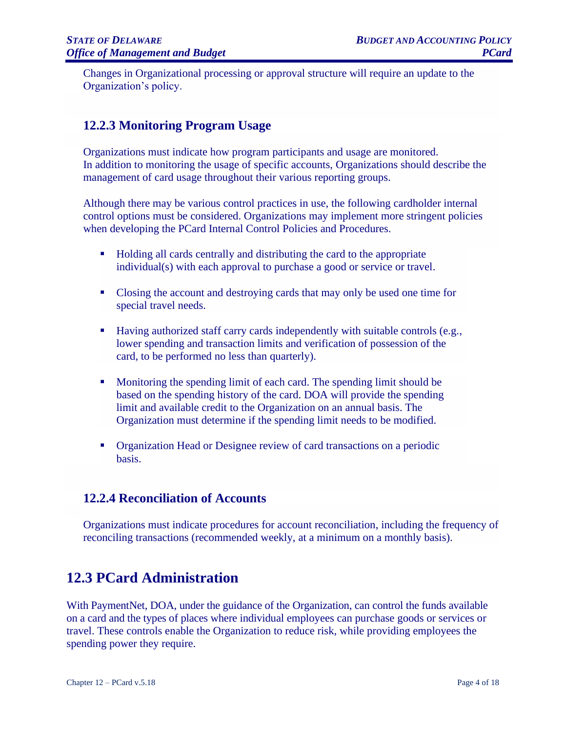Changes in Organizational processing or approval structure will require an update to the Organization's policy.

### <span id="page-3-0"></span>**12.2.3 Monitoring Program Usage**

Organizations must indicate how program participants and usage are monitored. In addition to monitoring the usage of specific accounts, Organizations should describe the management of card usage throughout their various reporting groups.

Although there may be various control practices in use, the following cardholder internal control options must be considered. Organizations may implement more stringent policies when developing the PCard Internal Control Policies and Procedures.

- Holding all cards centrally and distributing the card to the appropriate individual(s) with each approval to purchase a good or service or travel.
- Closing the account and destroying cards that may only be used one time for special travel needs.
- Having authorized staff carry cards independently with suitable controls (e.g., lower spending and transaction limits and verification of possession of the card, to be performed no less than quarterly).
- Monitoring the spending limit of each card. The spending limit should be based on the spending history of the card. DOA will provide the spending limit and available credit to the Organization on an annual basis. The Organization must determine if the spending limit needs to be modified.
- Organization Head or Designee review of card transactions on a periodic basis.

#### <span id="page-3-1"></span>**12.2.4 Reconciliation of Accounts**

Organizations must indicate procedures for account reconciliation, including the frequency of reconciling transactions (recommended weekly, at a minimum on a monthly basis).

# <span id="page-3-2"></span>**12.3 PCard Administration**

With PaymentNet, DOA, under the guidance of the Organization, can control the funds available on a card and the types of places where individual employees can purchase goods or services or travel. These controls enable the Organization to reduce risk, while providing employees the spending power they require.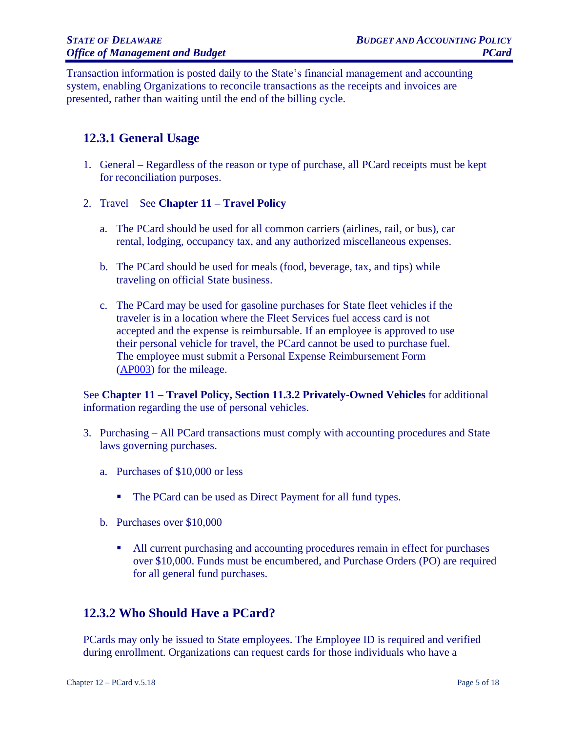Transaction information is posted daily to the State's financial management and accounting system, enabling Organizations to reconcile transactions as the receipts and invoices are presented, rather than waiting until the end of the billing cycle.

#### <span id="page-4-0"></span>**12.3.1 General Usage**

- 1. General Regardless of the reason or type of purchase, all PCard receipts must be kept for reconciliation purposes.
- 2. Travel See **Chapter 11 – Travel Policy**
	- a. The PCard should be used for all common carriers (airlines, rail, or bus), car rental, lodging, occupancy tax, and any authorized miscellaneous expenses.
	- b. The PCard should be used for meals (food, beverage, tax, and tips) while traveling on official State business.
	- c. The PCard may be used for gasoline purchases for State fleet vehicles if the traveler is in a location where the Fleet Services fuel access card is not accepted and the expense is reimbursable. If an employee is approved to use their personal vehicle for travel, the PCard cannot be used to purchase fuel. The employee must submit a Personal Expense Reimbursement Form [\(AP003\)](http://extranet.fsf.state.de.us/forms.shtml) for the mileage.

See **Chapter 11 – Travel Policy, Section 11.3.2 Privately-Owned Vehicles** for additional information regarding the use of personal vehicles.

- 3. Purchasing All PCard transactions must comply with accounting procedures and State laws governing purchases.
	- a. Purchases of \$10,000 or less
		- The PCard can be used as Direct Payment for all fund types.
	- b. Purchases over \$10,000
		- All current purchasing and accounting procedures remain in effect for purchases over \$10,000. Funds must be encumbered, and Purchase Orders (PO) are required for all general fund purchases.

#### <span id="page-4-1"></span>**12.3.2 Who Should Have a PCard?**

PCards may only be issued to State employees. The Employee ID is required and verified during enrollment. Organizations can request cards for those individuals who have a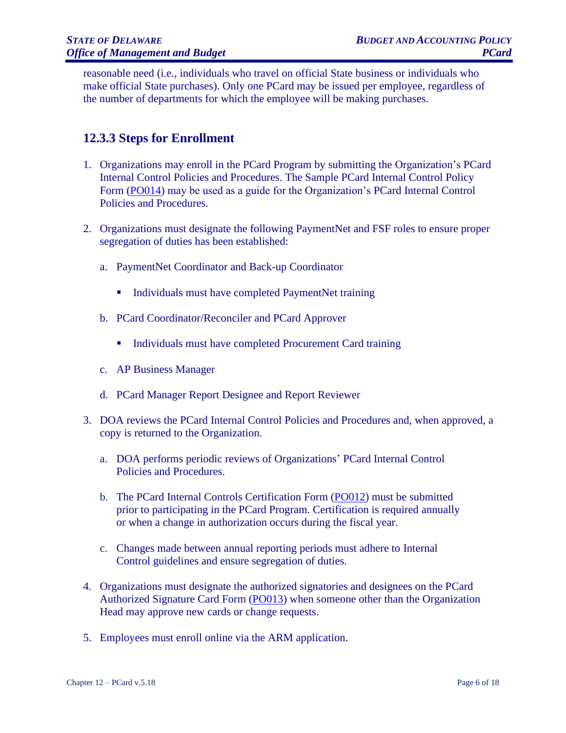reasonable need (i.e., individuals who travel on official State business or individuals who make official State purchases). Only one PCard may be issued per employee, regardless of the number of departments for which the employee will be making purchases.

#### <span id="page-5-0"></span>**12.3.3 Steps for Enrollment**

- 1. Organizations may enroll in the PCard Program by submitting the Organization's PCard Internal Control Policies and Procedures. The Sample PCard Internal Control Policy Form [\(PO014\)](http://extranet.fsf.state.de.us/forms.shtml) may be used as a guide for the Organization's PCard Internal Control Policies and Procedures.
- 2. Organizations must designate the following PaymentNet and FSF roles to ensure proper segregation of duties has been established:
	- a. PaymentNet Coordinator and Back-up Coordinator
		- Individuals must have completed PaymentNet training
	- b. PCard Coordinator/Reconciler and PCard Approver
		- Individuals must have completed Procurement Card training
	- c. AP Business Manager
	- d. PCard Manager Report Designee and Report Reviewer
- 3. DOA reviews the PCard Internal Control Policies and Procedures and, when approved, a copy is returned to the Organization.
	- a. DOA performs periodic reviews of Organizations' PCard Internal Control Policies and Procedures.
	- b. The PCard Internal Controls Certification Form [\(PO012\)](http://extranet.fsf.state.de.us/forms.shtml) must be submitted prior to participating in the PCard Program. Certification is required annually or when a change in authorization occurs during the fiscal year.
	- c. Changes made between annual reporting periods must adhere to Internal Control guidelines and ensure segregation of duties.
- 4. Organizations must designate the authorized signatories and designees on the PCard Authorized Signature Card Form [\(PO013\)](http://extranet.fsf.state.de.us/forms.shtml) when someone other than the Organization Head may approve new cards or change requests.
- 5. Employees must enroll online via the ARM application.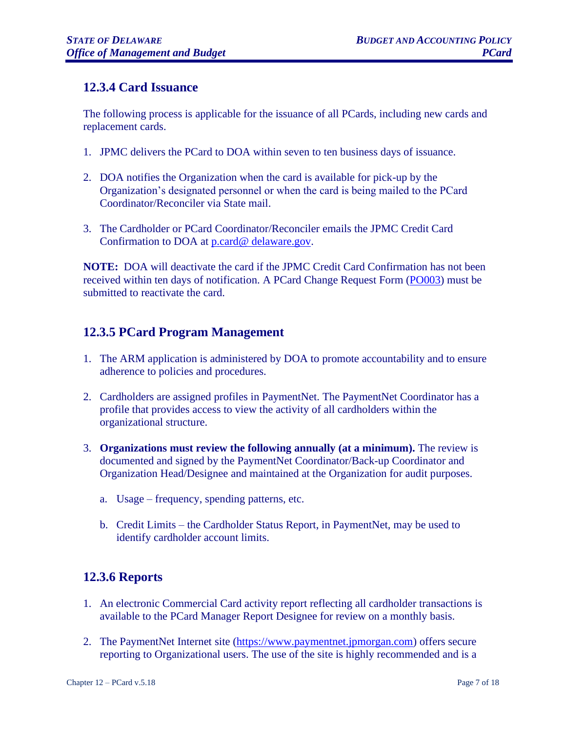#### <span id="page-6-0"></span>**12.3.4 Card Issuance**

The following process is applicable for the issuance of all PCards, including new cards and replacement cards.

- 1. JPMC delivers the PCard to DOA within seven to ten business days of issuance.
- 2. DOA notifies the Organization when the card is available for pick-up by the Organization's designated personnel or when the card is being mailed to the PCard Coordinator/Reconciler via State mail.
- 3. The Cardholder or PCard Coordinator/Reconciler emails the JPMC Credit Card Confirmation to DOA at p.card@ [delaware.gov.](mailto:p.card@%20delaware.gov)

**NOTE:** DOA will deactivate the card if the JPMC Credit Card Confirmation has not been received within ten days of notification. A PCard Change Request Form [\(PO003\)](http://extranet.fsf.state.de.us/forms.shtml) must be submitted to reactivate the card.

### <span id="page-6-1"></span>**12.3.5 PCard Program Management**

- 1. The ARM application is administered by DOA to promote accountability and to ensure adherence to policies and procedures.
- 2. Cardholders are assigned profiles in PaymentNet. The PaymentNet Coordinator has a profile that provides access to view the activity of all cardholders within the organizational structure.
- 3. **Organizations must review the following annually (at a minimum).** The review is documented and signed by the PaymentNet Coordinator/Back-up Coordinator and Organization Head/Designee and maintained at the Organization for audit purposes.
	- a. Usage frequency, spending patterns, etc.
	- b. Credit Limits the Cardholder Status Report, in PaymentNet, may be used to identify cardholder account limits.

### <span id="page-6-2"></span>**12.3.6 Reports**

- 1. An electronic Commercial Card activity report reflecting all cardholder transactions is available to the PCard Manager Report Designee for review on a monthly basis.
- 2. The PaymentNet Internet site [\(https://www.paymentnet.jpmorgan.com\)](https://www.paymentnet.jpmorgan.com/) offers secure reporting to Organizational users. The use of the site is highly recommended and is a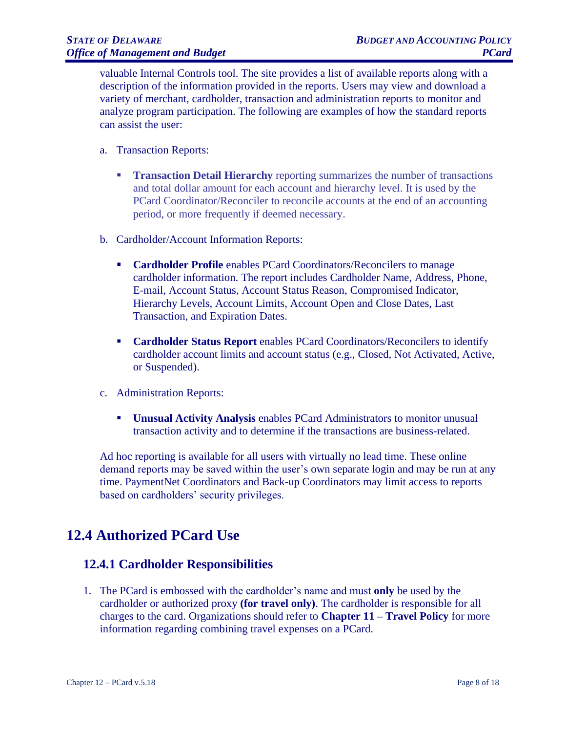valuable Internal Controls tool. The site provides a list of available reports along with a description of the information provided in the reports. Users may view and download a variety of merchant, cardholder, transaction and administration reports to monitor and analyze program participation. The following are examples of how the standard reports can assist the user:

- a. Transaction Reports:
	- **Transaction Detail Hierarchy** reporting summarizes the number of transactions and total dollar amount for each account and hierarchy level. It is used by the PCard Coordinator/Reconciler to reconcile accounts at the end of an accounting period, or more frequently if deemed necessary.
- b. Cardholder/Account Information Reports:
	- **Cardholder Profile** enables PCard Coordinators/Reconcilers to manage cardholder information. The report includes Cardholder Name, Address, Phone, E-mail, Account Status, Account Status Reason, Compromised Indicator, Hierarchy Levels, Account Limits, Account Open and Close Dates, Last Transaction, and Expiration Dates.
	- **Cardholder Status Report** enables PCard Coordinators/Reconcilers to identify cardholder account limits and account status (e.g., Closed, Not Activated, Active, or Suspended).
- c. Administration Reports:
	- **Unusual Activity Analysis** enables PCard Administrators to monitor unusual transaction activity and to determine if the transactions are business-related.

Ad hoc reporting is available for all users with virtually no lead time. These online demand reports may be saved within the user's own separate login and may be run at any time. PaymentNet Coordinators and Back-up Coordinators may limit access to reports based on cardholders' security privileges.

# <span id="page-7-0"></span>**12.4 Authorized PCard Use**

#### <span id="page-7-1"></span>**12.4.1 Cardholder Responsibilities**

1. The PCard is embossed with the cardholder's name and must **only** be used by the cardholder or authorized proxy **(for travel only)**. The cardholder is responsible for all charges to the card. Organizations should refer to **Chapter 11 – Travel Policy** for more information regarding combining travel expenses on a PCard.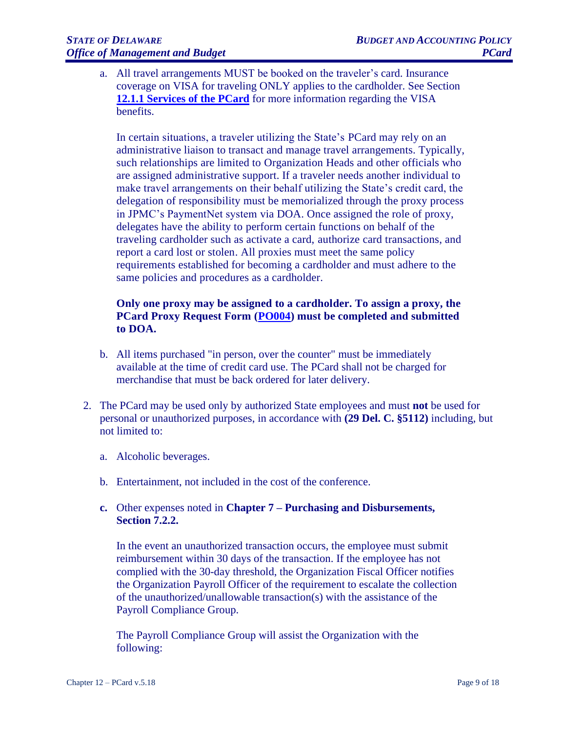a. All travel arrangements MUST be booked on the traveler's card. Insurance coverage on VISA for traveling ONLY applies to the cardholder. See Section **[12.1.1 Services of the PCard](https://budget.delaware.gov/accounting-manual/documents/chapter12.pdf?ver=0829)** for more information regarding the VISA benefits.

In certain situations, a traveler utilizing the State's PCard may rely on an administrative liaison to transact and manage travel arrangements. Typically, such relationships are limited to Organization Heads and other officials who are assigned administrative support. If a traveler needs another individual to make travel arrangements on their behalf utilizing the State's credit card, the delegation of responsibility must be memorialized through the proxy process in JPMC's PaymentNet system via DOA. Once assigned the role of proxy, delegates have the ability to perform certain functions on behalf of the traveling cardholder such as activate a card, authorize card transactions, and report a card lost or stolen. All proxies must meet the same policy requirements established for becoming a cardholder and must adhere to the same policies and procedures as a cardholder.

#### **Only one proxy may be assigned to a cardholder. To assign a proxy, the PCard Proxy Request Form [\(PO004\)](http://extranet.fsf.state.de.us/forms.shtml) must be completed and submitted to DOA.**

- b. All items purchased "in person, over the counter" must be immediately available at the time of credit card use. The PCard shall not be charged for merchandise that must be back ordered for later delivery.
- 2. The PCard may be used only by authorized State employees and must **not** be used for personal or unauthorized purposes, in accordance with **(29 Del. C. §5112)** including, but not limited to:
	- a. Alcoholic beverages.
	- b. Entertainment, not included in the cost of the conference.

#### **c.** Other expenses noted in **Chapter 7 – Purchasing and Disbursements, Section 7.2.2.**

In the event an unauthorized transaction occurs, the employee must submit reimbursement within 30 days of the transaction. If the employee has not complied with the 30-day threshold, the Organization Fiscal Officer notifies the Organization Payroll Officer of the requirement to escalate the collection of the unauthorized/unallowable transaction(s) with the assistance of the Payroll Compliance Group.

The Payroll Compliance Group will assist the Organization with the following: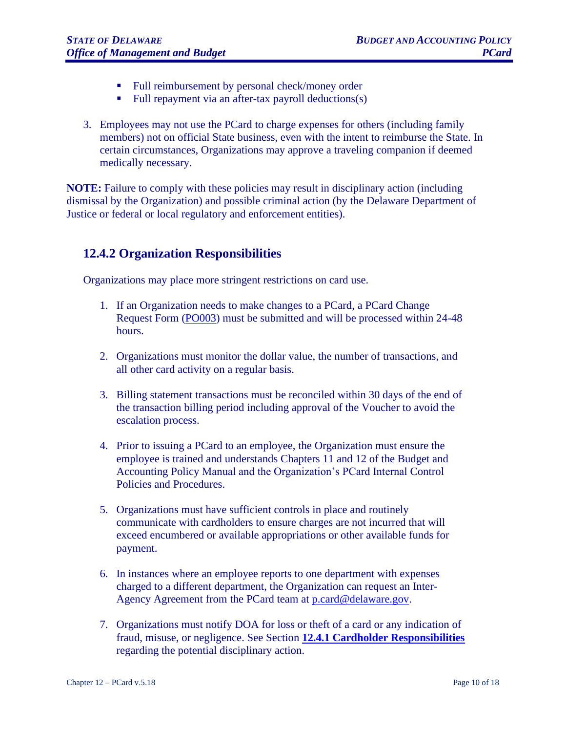- Full reimbursement by personal check/money order
- Full repayment via an after-tax payroll deductions(s)
- 3. Employees may not use the PCard to charge expenses for others (including family members) not on official State business, even with the intent to reimburse the State. In certain circumstances, Organizations may approve a traveling companion if deemed medically necessary.

**NOTE:** Failure to comply with these policies may result in disciplinary action (including dismissal by the Organization) and possible criminal action (by the Delaware Department of Justice or federal or local regulatory and enforcement entities).

#### <span id="page-9-1"></span><span id="page-9-0"></span>**12.4.2 Organization Responsibilities**

Organizations may place more stringent restrictions on card use.

- 1. If an Organization needs to make changes to a PCard, a PCard Change Request Form [\(PO003\)](http://extranet.fsf.state.de.us/forms.shtml) must be submitted and will be processed within 24-48 hours.
- 2. Organizations must monitor the dollar value, the number of transactions, and all other card activity on a regular basis.
- 3. Billing statement transactions must be reconciled within 30 days of the end of the transaction billing period including approval of the Voucher to avoid the escalation process.
- 4. Prior to issuing a PCard to an employee, the Organization must ensure the employee is trained and understands Chapters 11 and 12 of the Budget and Accounting Policy Manual and the Organization's PCard Internal Control Policies and Procedures.
- 5. Organizations must have sufficient controls in place and routinely communicate with cardholders to ensure charges are not incurred that will exceed encumbered or available appropriations or other available funds for payment.
- 6. In instances where an employee reports to one department with expenses charged to a different department, the Organization can request an Inter-Agency Agreement from the PCard team at [p.card@delaware.gov.](mailto:p.card@delaware.gov)
- 7. Organizations must notify DOA for loss or theft of a card or any indication of fraud, misuse, or negligence. See Section **[12.4.1 Cardholder Responsibilities](#page-9-1)** regarding the potential disciplinary action.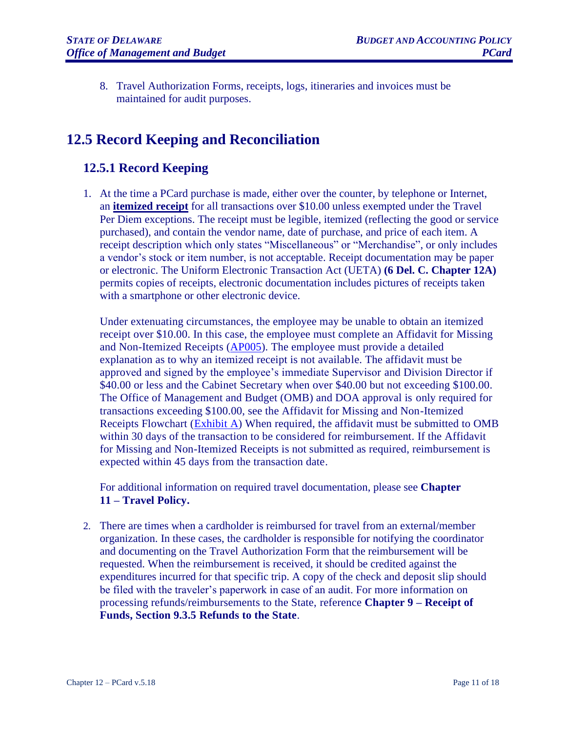8. Travel Authorization Forms, receipts, logs, itineraries and invoices must be maintained for audit purposes.

# <span id="page-10-0"></span>**12.5 Record Keeping and Reconciliation**

#### <span id="page-10-1"></span>**12.5.1 Record Keeping**

1. At the time a PCard purchase is made, either over the counter, by telephone or Internet, an **itemized receipt** for all transactions over \$10.00 unless exempted under the Travel Per Diem exceptions. The receipt must be legible, itemized (reflecting the good or service purchased), and contain the vendor name, date of purchase, and price of each item. A receipt description which only states "Miscellaneous" or "Merchandise", or only includes a vendor's stock or item number, is not acceptable. Receipt documentation may be paper or electronic. The Uniform Electronic Transaction Act (UETA) **(6 Del. C. Chapter 12A)** permits copies of receipts, electronic documentation includes pictures of receipts taken with a smartphone or other electronic device.

Under extenuating circumstances, the employee may be unable to obtain an itemized receipt over \$10.00. In this case, the employee must complete an Affidavit for Missing and Non-Itemized Receipts [\(AP005\)](http://extranet.fsf.state.de.us/forms.shtml). The employee must provide a detailed explanation as to why an itemized receipt is not available. The affidavit must be approved and signed by the employee's immediate Supervisor and Division Director if \$40.00 or less and the Cabinet Secretary when over \$40.00 but not exceeding \$100.00. The Office of Management and Budget (OMB) and DOA approval is only required for transactions exceeding \$100.00, see the Affidavit for Missing and Non-Itemized Receipts Flowchart [\(Exhibit A\)](#page-17-0) When required, the affidavit must be submitted to OMB within 30 days of the transaction to be considered for reimbursement. If the Affidavit for Missing and Non-Itemized Receipts is not submitted as required, reimbursement is expected within 45 days from the transaction date.

For additional information on required travel documentation, please see **Chapter 11 – Travel Policy.**

2. There are times when a cardholder is reimbursed for travel from an external/member organization. In these cases, the cardholder is responsible for notifying the coordinator and documenting on the Travel Authorization Form that the reimbursement will be requested. When the reimbursement is received, it should be credited against the expenditures incurred for that specific trip. A copy of the check and deposit slip should be filed with the traveler's paperwork in case of an audit. For more information on processing refunds/reimbursements to the State, reference **Chapter 9 – Receipt of Funds, Section 9.3.5 Refunds to the State**.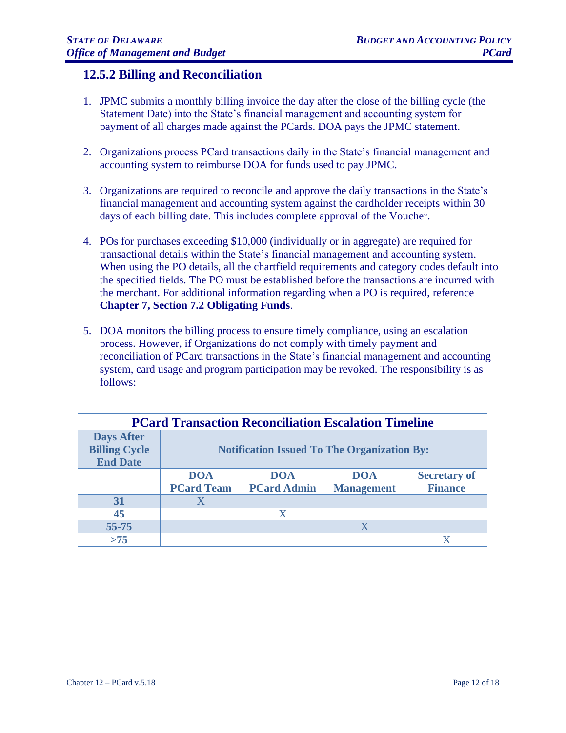#### <span id="page-11-0"></span>**12.5.2 Billing and Reconciliation**

- 1. JPMC submits a monthly billing invoice the day after the close of the billing cycle (the Statement Date) into the State's financial management and accounting system for payment of all charges made against the PCards. DOA pays the JPMC statement.
- 2. Organizations process PCard transactions daily in the State's financial management and accounting system to reimburse DOA for funds used to pay JPMC.
- 3. Organizations are required to reconcile and approve the daily transactions in the State's financial management and accounting system against the cardholder receipts within 30 days of each billing date. This includes complete approval of the Voucher.
- 4. POs for purchases exceeding \$10,000 (individually or in aggregate) are required for transactional details within the State's financial management and accounting system. When using the PO details, all the chartfield requirements and category codes default into the specified fields. The PO must be established before the transactions are incurred with the merchant. For additional information regarding when a PO is required, reference **Chapter 7, Section 7.2 Obligating Funds**.
- 5. DOA monitors the billing process to ensure timely compliance, using an escalation process. However, if Organizations do not comply with timely payment and reconciliation of PCard transactions in the State's financial management and accounting system, card usage and program participation may be revoked. The responsibility is as follows:

| <b>PCard Transaction Reconciliation Escalation Timeline</b>  |                                                    |                    |                   |                     |  |  |
|--------------------------------------------------------------|----------------------------------------------------|--------------------|-------------------|---------------------|--|--|
| <b>Days After</b><br><b>Billing Cycle</b><br><b>End Date</b> | <b>Notification Issued To The Organization By:</b> |                    |                   |                     |  |  |
|                                                              | <b>DOA</b>                                         | DOA                | <b>DOA</b>        | <b>Secretary of</b> |  |  |
|                                                              | <b>PCard Team</b>                                  | <b>PCard Admin</b> | <b>Management</b> | <b>Finance</b>      |  |  |
| 31                                                           | X                                                  |                    |                   |                     |  |  |
| 45                                                           |                                                    | X                  |                   |                     |  |  |
| $55 - 75$                                                    |                                                    |                    | X                 |                     |  |  |
| >75                                                          |                                                    |                    |                   |                     |  |  |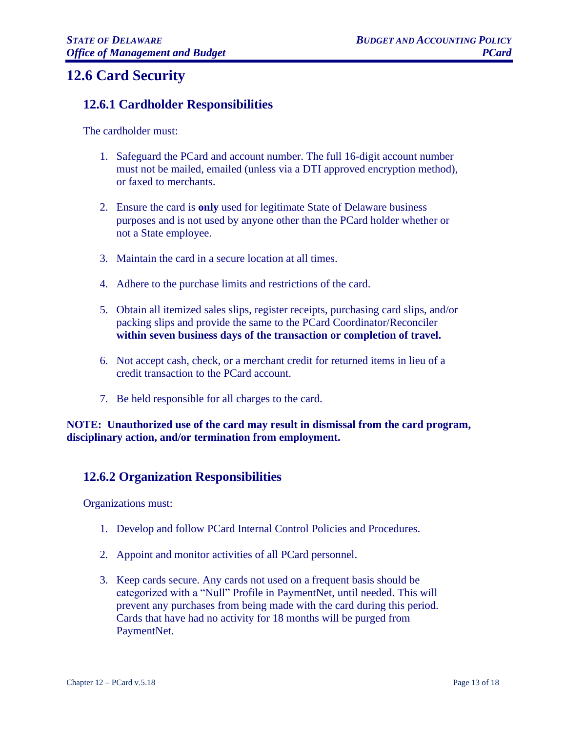# <span id="page-12-0"></span>**12.6 Card Security**

#### <span id="page-12-1"></span>**12.6.1 Cardholder Responsibilities**

The cardholder must:

- 1. Safeguard the PCard and account number. The full 16-digit account number must not be mailed, emailed (unless via a DTI approved encryption method), or faxed to merchants.
- 2. Ensure the card is **only** used for legitimate State of Delaware business purposes and is not used by anyone other than the PCard holder whether or not a State employee.
- 3. Maintain the card in a secure location at all times.
- 4. Adhere to the purchase limits and restrictions of the card.
- 5. Obtain all itemized sales slips, register receipts, purchasing card slips, and/or packing slips and provide the same to the PCard Coordinator/Reconciler **within seven business days of the transaction or completion of travel.**
- 6. Not accept cash, check, or a merchant credit for returned items in lieu of a credit transaction to the PCard account.
- 7. Be held responsible for all charges to the card.

**NOTE: Unauthorized use of the card may result in dismissal from the card program, disciplinary action, and/or termination from employment.**

#### <span id="page-12-2"></span>**12.6.2 Organization Responsibilities**

Organizations must:

- 1. Develop and follow PCard Internal Control Policies and Procedures.
- 2. Appoint and monitor activities of all PCard personnel.
- 3. Keep cards secure. Any cards not used on a frequent basis should be categorized with a "Null" Profile in PaymentNet, until needed. This will prevent any purchases from being made with the card during this period. Cards that have had no activity for 18 months will be purged from PaymentNet.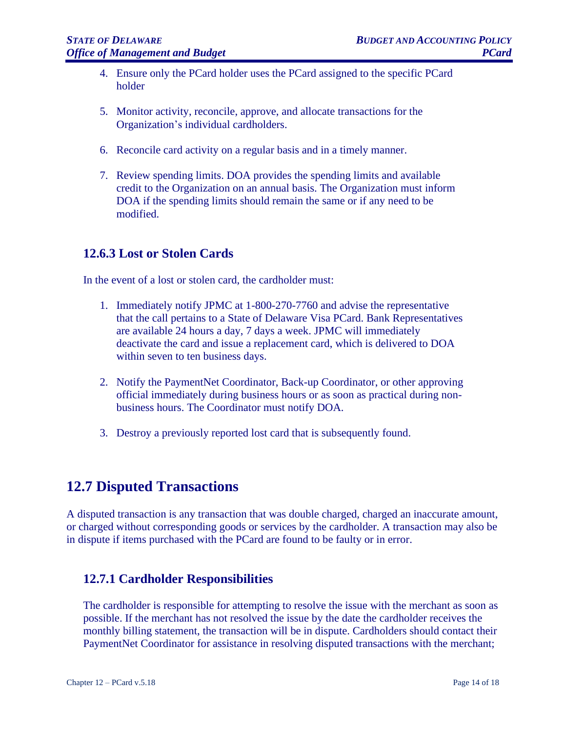- 4. Ensure only the PCard holder uses the PCard assigned to the specific PCard holder
- 5. Monitor activity, reconcile, approve, and allocate transactions for the Organization's individual cardholders.
- 6. Reconcile card activity on a regular basis and in a timely manner.
- 7. Review spending limits. DOA provides the spending limits and available credit to the Organization on an annual basis. The Organization must inform DOA if the spending limits should remain the same or if any need to be modified.

#### <span id="page-13-0"></span>**12.6.3 Lost or Stolen Cards**

In the event of a lost or stolen card, the cardholder must:

- 1. Immediately notify JPMC at 1-800-270-7760 and advise the representative that the call pertains to a State of Delaware Visa PCard. Bank Representatives are available 24 hours a day, 7 days a week. JPMC will immediately deactivate the card and issue a replacement card, which is delivered to DOA within seven to ten business days.
- 2. Notify the PaymentNet Coordinator, Back-up Coordinator, or other approving official immediately during business hours or as soon as practical during nonbusiness hours. The Coordinator must notify DOA.
- 3. Destroy a previously reported lost card that is subsequently found.

## <span id="page-13-1"></span>**12.7 Disputed Transactions**

A disputed transaction is any transaction that was double charged, charged an inaccurate amount, or charged without corresponding goods or services by the cardholder. A transaction may also be in dispute if items purchased with the PCard are found to be faulty or in error.

#### <span id="page-13-2"></span>**12.7.1 Cardholder Responsibilities**

The cardholder is responsible for attempting to resolve the issue with the merchant as soon as possible. If the merchant has not resolved the issue by the date the cardholder receives the monthly billing statement, the transaction will be in dispute. Cardholders should contact their PaymentNet Coordinator for assistance in resolving disputed transactions with the merchant;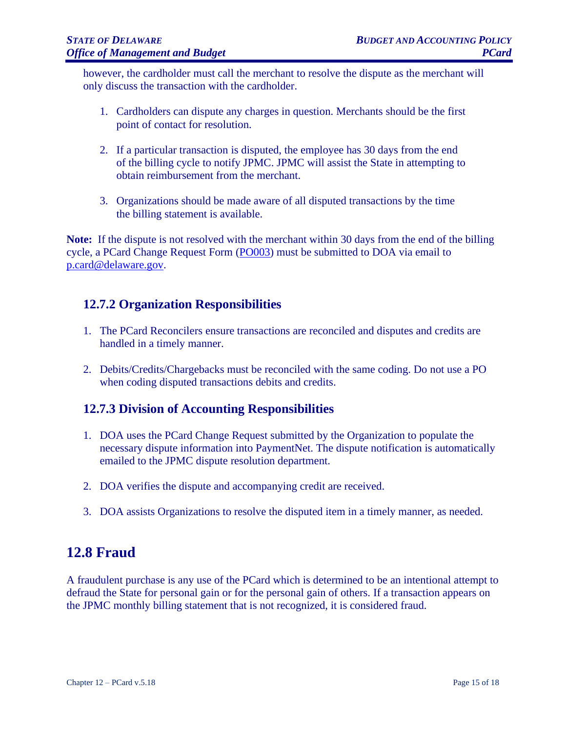however, the cardholder must call the merchant to resolve the dispute as the merchant will only discuss the transaction with the cardholder.

- 1. Cardholders can dispute any charges in question. Merchants should be the first point of contact for resolution.
- 2. If a particular transaction is disputed, the employee has 30 days from the end of the billing cycle to notify JPMC. JPMC will assist the State in attempting to obtain reimbursement from the merchant.
- 3. Organizations should be made aware of all disputed transactions by the time the billing statement is available.

**Note:** If the dispute is not resolved with the merchant within 30 days from the end of the billing cycle, a PCard Change Request Form [\(PO003\)](http://extranet.fsf.state.de.us/forms.shtml) must be submitted to DOA via email to [p.card@delaware.gov.](mailto:p.card@delaware.gov)

#### <span id="page-14-0"></span>**12.7.2 Organization Responsibilities**

- 1. The PCard Reconcilers ensure transactions are reconciled and disputes and credits are handled in a timely manner.
- 2. Debits/Credits/Chargebacks must be reconciled with the same coding. Do not use a PO when coding disputed transactions debits and credits.

#### <span id="page-14-1"></span>**12.7.3 Division of Accounting Responsibilities**

- 1. DOA uses the PCard Change Request submitted by the Organization to populate the necessary dispute information into PaymentNet. The dispute notification is automatically emailed to the JPMC dispute resolution department.
- 2. DOA verifies the dispute and accompanying credit are received.
- 3. DOA assists Organizations to resolve the disputed item in a timely manner, as needed.

# <span id="page-14-2"></span>**12.8 Fraud**

A fraudulent purchase is any use of the PCard which is determined to be an intentional attempt to defraud the State for personal gain or for the personal gain of others. If a transaction appears on the JPMC monthly billing statement that is not recognized, it is considered fraud.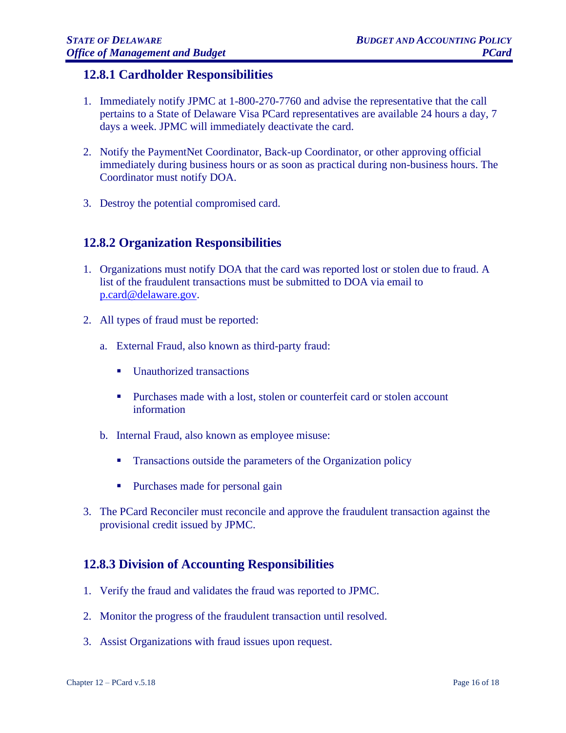#### <span id="page-15-0"></span>**12.8.1 Cardholder Responsibilities**

- 1. Immediately notify JPMC at 1-800-270-7760 and advise the representative that the call pertains to a State of Delaware Visa PCard representatives are available 24 hours a day, 7 days a week. JPMC will immediately deactivate the card.
- 2. Notify the PaymentNet Coordinator, Back-up Coordinator, or other approving official immediately during business hours or as soon as practical during non-business hours. The Coordinator must notify DOA.
- 3. Destroy the potential compromised card.

#### <span id="page-15-1"></span>**12.8.2 Organization Responsibilities**

- 1. Organizations must notify DOA that the card was reported lost or stolen due to fraud. A list of the fraudulent transactions must be submitted to DOA via email to [p.card@delaware.gov.](mailto:p.card@delaware.gov)
- 2. All types of fraud must be reported:
	- a. External Fraud, also known as third-party fraud:
		- Unauthorized transactions
		- **•** Purchases made with a lost, stolen or counterfeit card or stolen account information
	- b. Internal Fraud, also known as employee misuse:
		- **•** Transactions outside the parameters of the Organization policy
		- Purchases made for personal gain
- 3. The PCard Reconciler must reconcile and approve the fraudulent transaction against the provisional credit issued by JPMC.

#### <span id="page-15-2"></span>**12.8.3 Division of Accounting Responsibilities**

- 1. Verify the fraud and validates the fraud was reported to JPMC.
- 2. Monitor the progress of the fraudulent transaction until resolved.
- 3. Assist Organizations with fraud issues upon request.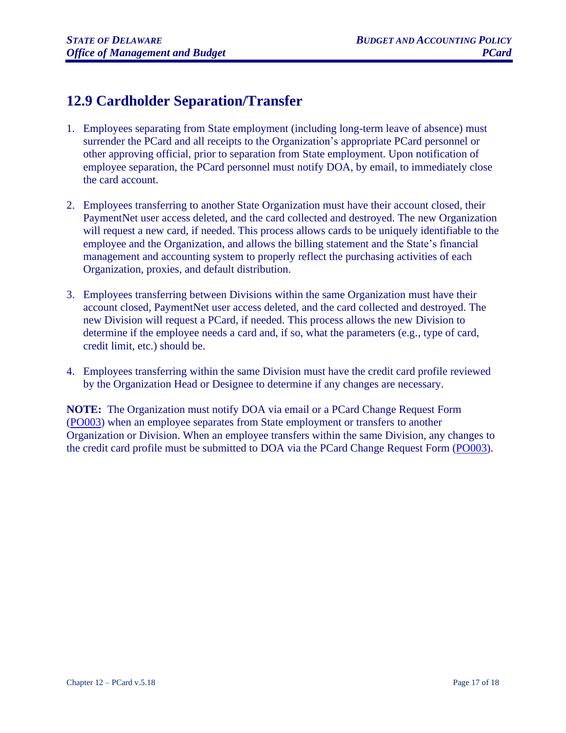# <span id="page-16-0"></span>**12.9 Cardholder Separation/Transfer**

- 1. Employees separating from State employment (including long-term leave of absence) must surrender the PCard and all receipts to the Organization's appropriate PCard personnel or other approving official, prior to separation from State employment. Upon notification of employee separation, the PCard personnel must notify DOA, by email, to immediately close the card account.
- 2. Employees transferring to another State Organization must have their account closed, their PaymentNet user access deleted, and the card collected and destroyed. The new Organization will request a new card, if needed. This process allows cards to be uniquely identifiable to the employee and the Organization, and allows the billing statement and the State's financial management and accounting system to properly reflect the purchasing activities of each Organization, proxies, and default distribution.
- 3. Employees transferring between Divisions within the same Organization must have their account closed, PaymentNet user access deleted, and the card collected and destroyed. The new Division will request a PCard, if needed. This process allows the new Division to determine if the employee needs a card and, if so, what the parameters (e.g., type of card, credit limit, etc.) should be.
- 4. Employees transferring within the same Division must have the credit card profile reviewed by the Organization Head or Designee to determine if any changes are necessary.

**NOTE:** The Organization must notify DOA via email or a PCard Change Request Form [\(PO003\)](http://extranet.fsf.state.de.us/forms.shtml) when an employee separates from State employment or transfers to another Organization or Division. When an employee transfers within the same Division, any changes to the credit card profile must be submitted to DOA via the PCard Change Request Form [\(PO003\)](http://extranet.fsf.state.de.us/forms.shtml).